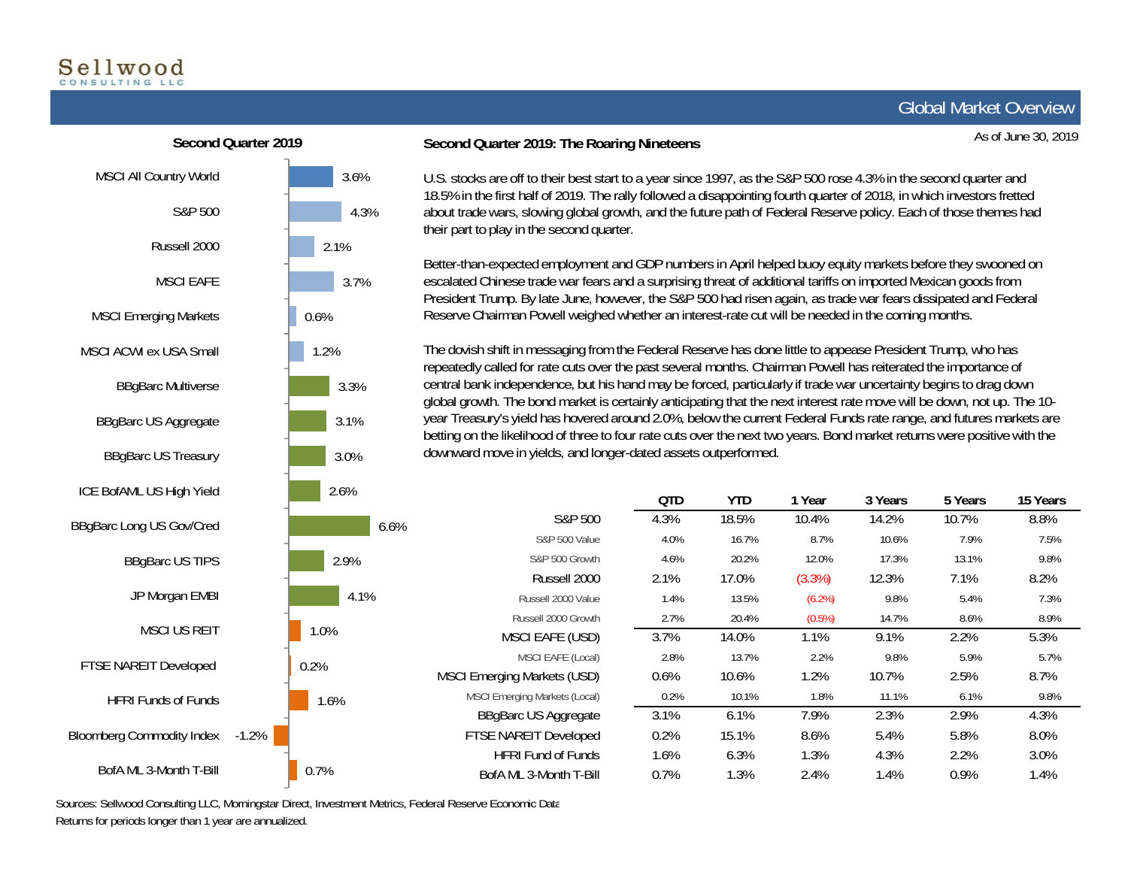# Sellwood

As of June 30, 2019

0.6%-1.2%MSCI All Country World S&P 500Russell 2000MSCI EAFEMSCI Emerging Markets MSCI ACWI ex USA SmallBBgBarc Multiverse BBgBarc US Aggregate BBgBarc US Treasury ICE BofAML US High Yield BBgBarc Long US Gov/Cred BBgBarc US TIPS JP Morgan EMBI MSCI US REITFTSE NAREIT Developed HFRI Funds of FundsBloomberg Commodity Index **Second Quarter 2019**

BofA ML 3-Month T-Bill

### **Second Quarter 2019: The Roaring Nineteens**

U.S. stocks are off to their best start to a year since 1997, as the S&P 500 rose 4.3% in the second quarter and 18.5% in the first half of 2019. The rally followed a disappointing fourth quarter of 2018, in which investors fretted about trade wars, slowing global growth, and the future path of Federal Reserve policy. Each of those themes had their part to play in the second quarter.

Better-than-expected employment and GDP numbers in April helped buoy equity markets before they swooned on escalated Chinese trade war fears and a surprising threat of additional tariffs on imported Mexican goods from President Trump. By late June, however, the S&P 500 had risen again, as trade war fears dissipated and Federal Reserve Chairman Powell weighed whether an interest-rate cut will be needed in the coming months.

The dovish shift in messaging from the Federal Reserve has done little to appease President Trump, who has repeatedly called for rate cuts over the past several months. Chairman Powell has reiterated the importance of central bank independence, but his hand may be forced, particularly if trade war uncertainty begins to drag down global growth. The bond market is certainly anticipating that the next interest rate move will be down, not up. The 10 year Treasury's yield has hovered around 2.0%, below the current Federal Funds rate range, and futures markets are betting on the likelihood of three to four rate cuts over the next two years. Bond market returns were positive with the downward move in yields, and longer-dated assets outperformed.

|         | 2.070        |                                      | QTD  | YTD.  | 1 Year    | 3 Years | 5 Years | 15 Years |
|---------|--------------|--------------------------------------|------|-------|-----------|---------|---------|----------|
|         | 6.6%<br>2.9% | S&P 500                              | 4.3% | 18.5% | 10.4%     | 14.2%   | 10.7%   | 8.8%     |
|         |              | <b>S&amp;P 500 Value</b>             | 4.0% | 16.7% | 8.7%      | 10.6%   | 7.9%    | 7.5%     |
|         |              | S&P 500 Growth                       | 4.6% | 20.2% | 12.0%     | 17.3%   | 13.1%   | 9.8%     |
|         |              | Russell 2000                         | 2.1% | 17.0% | (3.3%)    | 12.3%   | 7.1%    | 8.2%     |
|         | 4.1%         | Russell 2000 Value                   | 1.4% | 13.5% | $(6.2\%)$ | 9.8%    | 5.4%    | 7.3%     |
|         |              | Russell 2000 Growth                  | 2.7% | 20.4% | (0.5%)    | 14.7%   | 8.6%    | 8.9%     |
|         | 1.0%         | MSCI EAFE (USD)                      | 3.7% | 14.0% | 1.1%      | 9.1%    | 2.2%    | 5.3%     |
|         | 0.2%         | MSCI EAFE (Local)                    | 2.8% | 13.7% | 2.2%      | 9.8%    | 5.9%    | 5.7%     |
|         |              | <b>MSCI Emerging Markets (USD)</b>   | 0.6% | 10.6% | 1.2%      | 10.7%   | 2.5%    | 8.7%     |
| $-1.2%$ | 1.6%         | <b>MSCI Emerging Markets (Local)</b> | 0.2% | 10.1% | 1.8%      | 11.1%   | 6.1%    | 9.8%     |
|         |              | <b>BBgBarc US Aggregate</b>          | 3.1% | 6.1%  | 7.9%      | 2.3%    | 2.9%    | 4.3%     |
|         |              | FTSE NAREIT Developed                | 0.2% | 15.1% | 8.6%      | 5.4%    | 5.8%    | 8.0%     |
|         | 0.7%         | <b>HFRI Fund of Funds</b>            | 1.6% | 6.3%  | 1.3%      | 4.3%    | 2.2%    | 3.0%     |
|         |              | BofA ML 3-Month T-Bill               | 0.7% | 1.3%  | 2.4%      | 1.4%    | 0.9%    | 1.4%     |

Sources: Sellwood Consulting LLC, Morningstar Direct, Investment Metrics, Federal Reserve Economic Data Returns for periods longer than 1 year are annualized.

3.6%

4.3%

3.7%

3.3%

3.1%

3.0%

 $2.60/$ 

2.1%

1.2%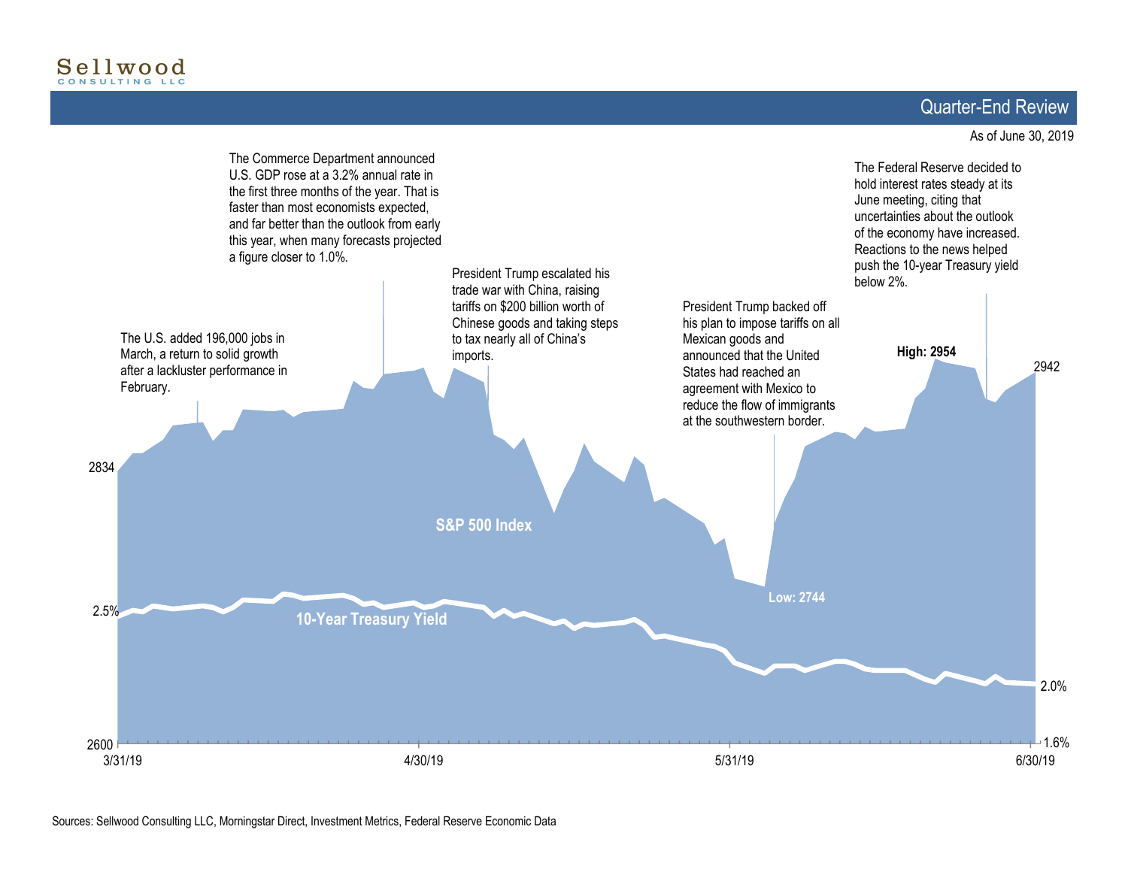# Quarter-End Review

#### As of June 30, 2019

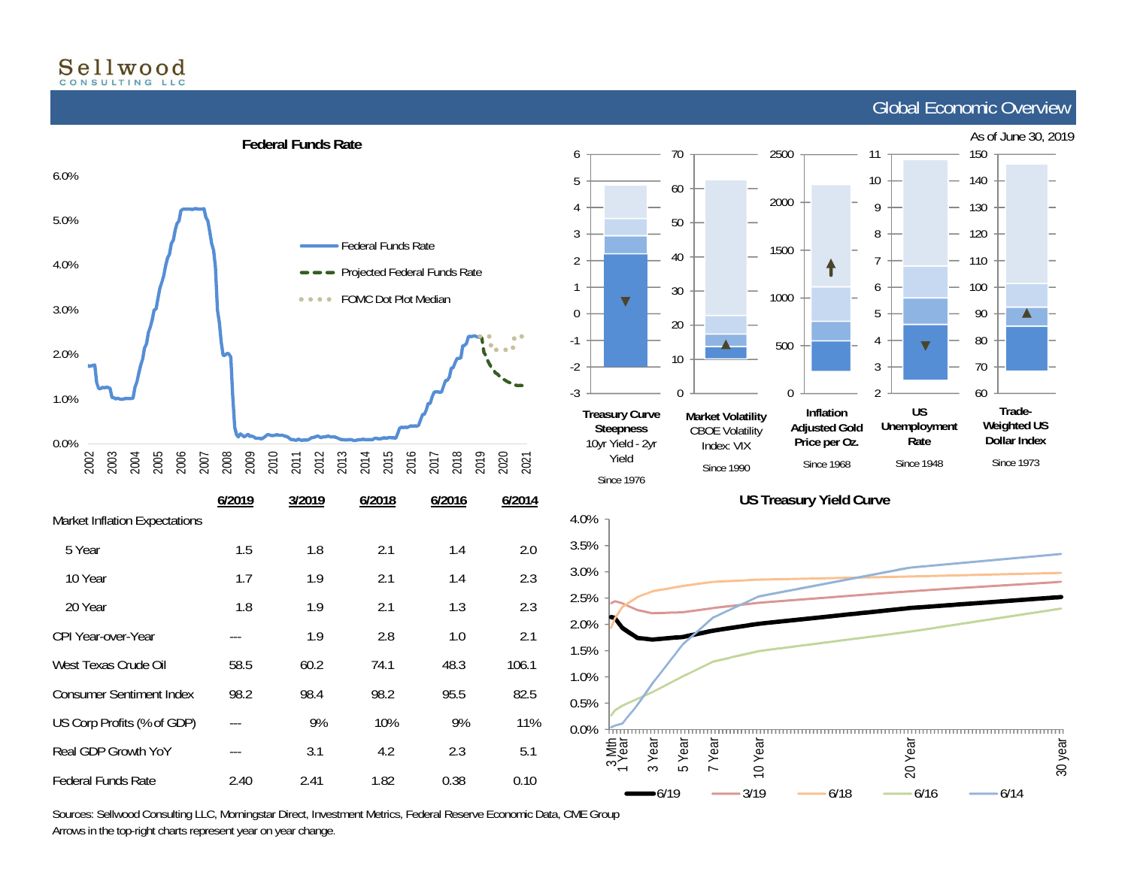# Sellwood

Federal Funds Rate

## Global Economic Overview







Sources: Sellwood Consulting LLC, Morningstar Direct, Investment Metrics, Federal Reserve Economic Data, CME Group Arrows in the top-right charts represent year on year change.

2.40 2.41 1.82 0.38 0.10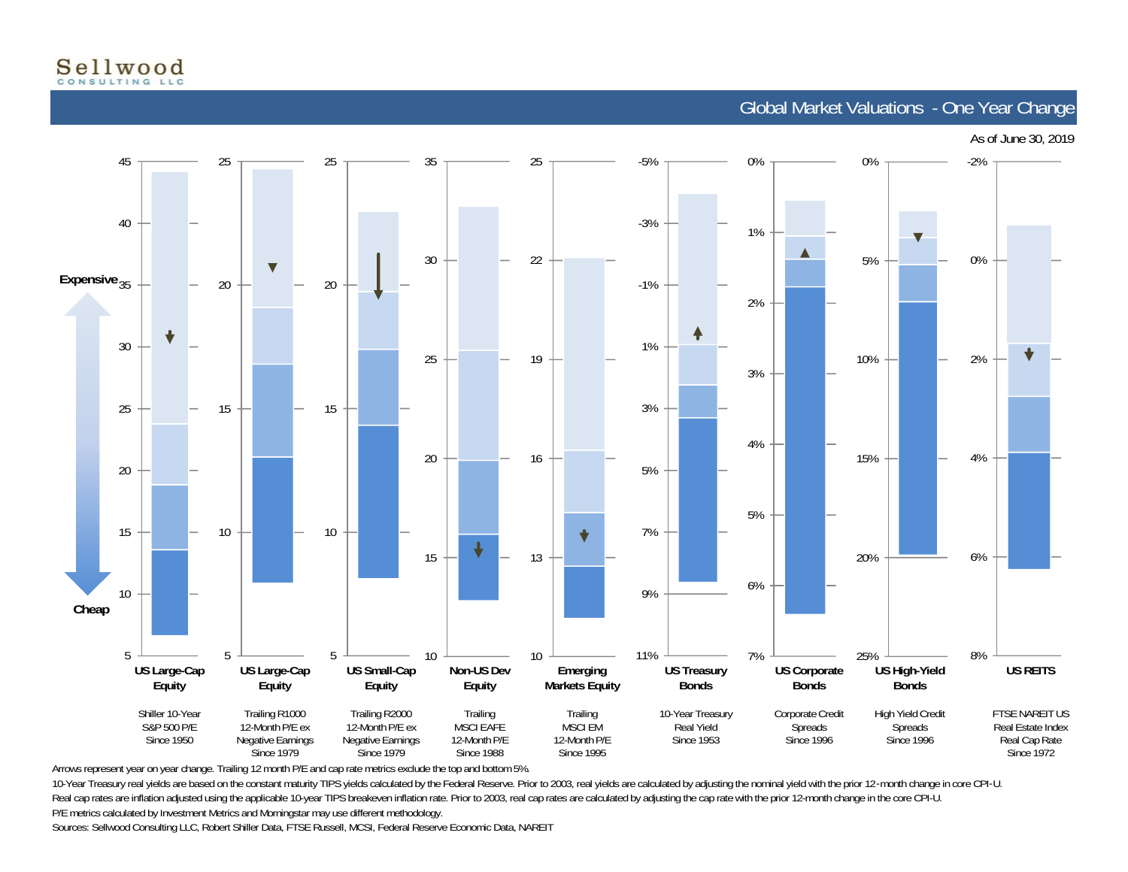

Global Market Valuations - One Year Change



Arrows represent year on year change. Trailing 12 month P/E and cap rate metrics exclude the top and bottom 5%.

10-Year Treasury real yields are based on the constant maturity TIPS yields calculated by the Federal Reserve. Prior to 2003, real yields are calculated by adjusting the nominal yield with the prior 12-month change in core Real cap rates are inflation adjusted using the applicable 10-year TIPS breakeven inflation rate. Prior to 2003, real cap rates are calculated by adjusting the cap rate with the prior 12-month change in the core CPI-U. P/E metrics calculated by Investment Metrics and Morningstar may use different methodology.

Sources: Sellwood Consulting LLC, Robert Shiller Data, FTSE Russell, MCSI, Federal Reserve Economic Data, NAREIT